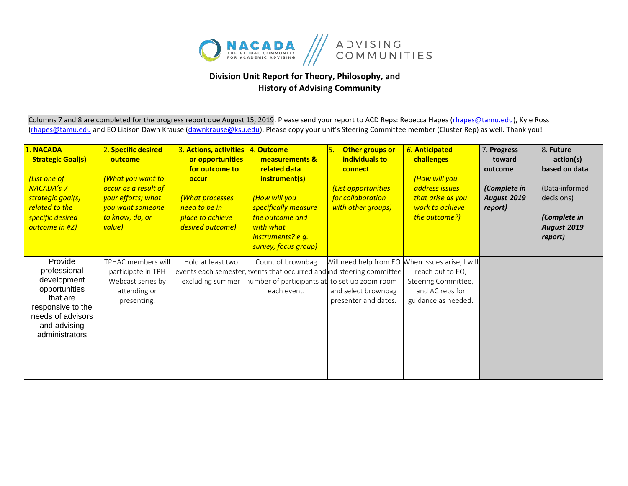

## **Division Unit Report for Theory, Philosophy, and History of Advising Community**

Columns 7 and 8 are completed for the progress report due August 15, 2019. Please send your report to ACD Reps: Rebecca Hapes (rhapes@tamu.edu), Kyle Ross (rhapes@tamu.edu and EO Liaison Dawn Krause (dawnkrause@ksu.edu). Please copy your unit's Steering Committee member (Cluster Rep) as well. Thank you!

| 1. NACADA<br><b>Strategic Goal(s)</b><br>(List one of<br><b>NACADA's 7</b><br>strategic goal(s)<br>related to the<br>specific desired<br>outcome in #2) | 2. Specific desired<br>outcome<br><b>What you want to</b><br>occur as a result of<br>your efforts; what<br>you want someone<br>to know, do, or<br>value) | 3. Actions, activities<br>or opportunities<br>for outcome to<br>occur<br>(What processes<br>need to be in<br>place to achieve<br>desired outcome) | 4. Outcome<br>measurements &<br>related data<br>instrument(s)<br>(How will you<br>specifically measure<br>the outcome and<br>with what<br>instruments? e.g.<br>survey, focus group) | 5.<br>Other groups or<br>individuals to<br>connect<br>(List opportunities<br>for collaboration<br>with other groups) | 6. Anticipated<br>challenges<br>(How will you<br>address issues<br>that arise as you<br>work to achieve<br>the outcome?)              | 7. Progress<br>toward<br>outcome<br>(Complete in<br><b>August 2019</b><br>report) | 8. Future<br>action(s)<br>based on data<br>(Data-informed<br>decisions)<br>(Complete in<br>August 2019<br>report) |
|---------------------------------------------------------------------------------------------------------------------------------------------------------|----------------------------------------------------------------------------------------------------------------------------------------------------------|---------------------------------------------------------------------------------------------------------------------------------------------------|-------------------------------------------------------------------------------------------------------------------------------------------------------------------------------------|----------------------------------------------------------------------------------------------------------------------|---------------------------------------------------------------------------------------------------------------------------------------|-----------------------------------------------------------------------------------|-------------------------------------------------------------------------------------------------------------------|
| Provide<br>professional<br>development<br>opportunities<br>that are<br>responsive to the<br>needs of advisors<br>and advising<br>administrators         | TPHAC members will<br>participate in TPH<br>Webcast series by<br>attending or<br>presenting.                                                             | Hold at least two<br>excluding summer                                                                                                             | Count of brownbag<br>events each semester, events that occurred and ind steering committee<br>lumber of participants at to set up zoom room<br>each event.                          | and select brownbag<br>presenter and dates.                                                                          | Will need help from EO When issues arise, I will<br>reach out to EO,<br>Steering Committee,<br>and AC reps for<br>guidance as needed. |                                                                                   |                                                                                                                   |